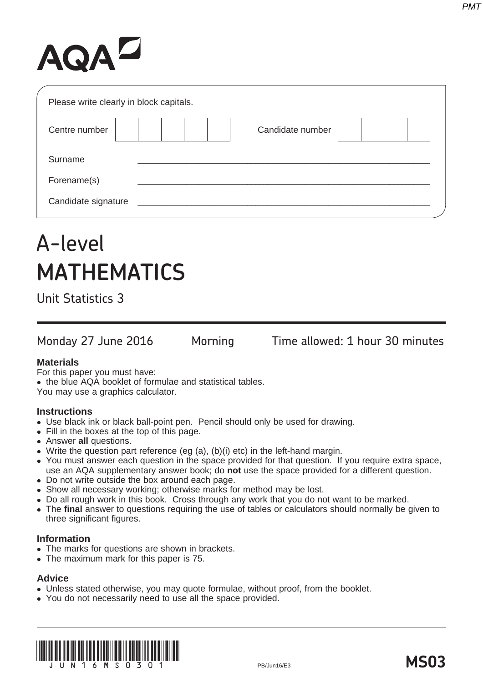# AQAZ

| Please write clearly in block capitals. |  |                  |  |
|-----------------------------------------|--|------------------|--|
| Centre number                           |  | Candidate number |  |
| Surname                                 |  |                  |  |
| Forename(s)                             |  |                  |  |
| Candidate signature                     |  |                  |  |

## A-level **MATHEMATICS**

Unit Statistics 3

Monday 27 June 2016 Morning Time allowed: 1 hour 30 minutes

#### **Materials**

For this paper you must have: • the blue AQA booklet of formulae and statistical tables. You may use a graphics calculator.

#### **Instructions**

- Use black ink or black ball-point pen. Pencil should only be used for drawing.
- Fill in the boxes at the top of this page.
- **Answer all questions.**
- Write the question part reference (eg (a), (b)(i) etc) in the left-hand margin.
- You must answer each question in the space provided for that question. If you require extra space, use an AQA supplementary answer book; do **not** use the space provided for a different question.
- Do not write outside the box around each page.
- Show all necessary working; otherwise marks for method may be lost.
- Do all rough work in this book. Cross through any work that you do not want to be marked.
- The final answer to questions requiring the use of tables or calculators should normally be given to three significant figures.

#### **Information**

- The marks for questions are shown in brackets.
- The maximum mark for this paper is 75.

### **Advice**

- Unless stated otherwise, you may quote formulae, without proof, from the booklet.
- You do not necessarily need to use all the space provided.



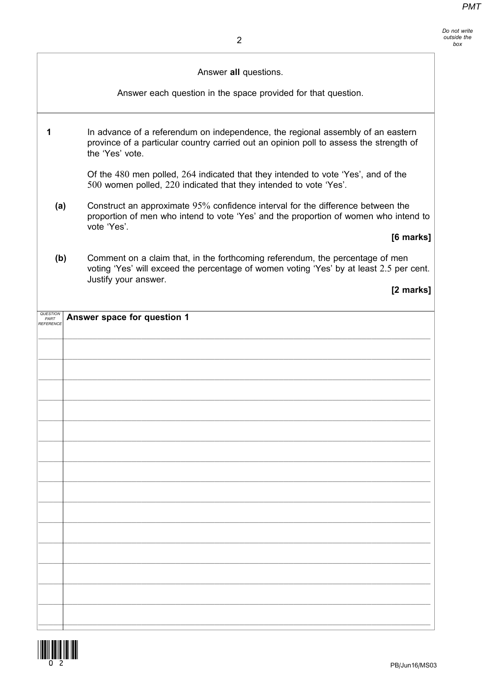| Do not write<br>outside the<br>box |
|------------------------------------|
|                                    |

|     | Answer all questions.                                                                                                                                                                            |
|-----|--------------------------------------------------------------------------------------------------------------------------------------------------------------------------------------------------|
|     | Answer each question in the space provided for that question.                                                                                                                                    |
|     | In advance of a referendum on independence, the regional assembly of an eastern<br>province of a particular country carried out an opinion poll to assess the strength of<br>the 'Yes' vote.     |
|     | Of the 480 men polled, 264 indicated that they intended to vote 'Yes', and of the<br>500 women polled, 220 indicated that they intended to vote 'Yes'.                                           |
| (a) | Construct an approximate 95% confidence interval for the difference between the<br>proportion of men who intend to vote 'Yes' and the proportion of women who intend to<br>vote 'Yes'.           |
|     | [6 marks]                                                                                                                                                                                        |
| (b) | Comment on a claim that, in the forthcoming referendum, the percentage of men<br>voting 'Yes' will exceed the percentage of women voting 'Yes' by at least 2.5 per cent.<br>Justify your answer. |
|     | [2 marks]                                                                                                                                                                                        |
|     |                                                                                                                                                                                                  |
|     |                                                                                                                                                                                                  |
|     |                                                                                                                                                                                                  |

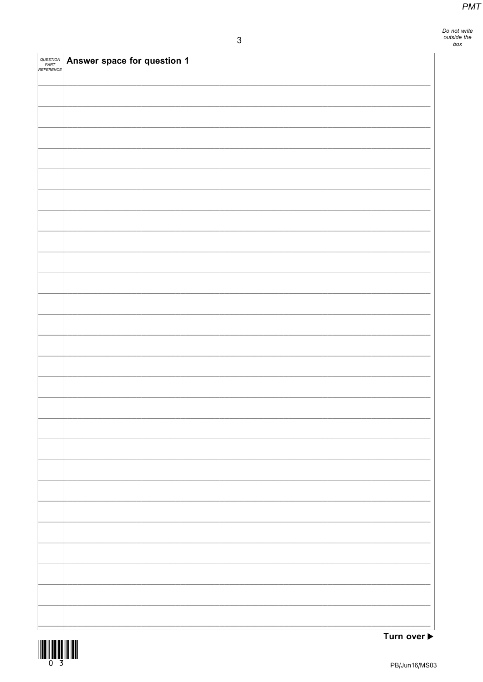Do not write<br>outside the<br>box

| <i>QUESTION<br/>PART<br/>REFERENCE</i> | Answer space for question 1 |
|----------------------------------------|-----------------------------|
|                                        |                             |
|                                        |                             |
|                                        |                             |
|                                        |                             |
|                                        |                             |
|                                        |                             |
|                                        |                             |
|                                        |                             |
|                                        |                             |
|                                        |                             |
|                                        |                             |
|                                        |                             |
|                                        |                             |
|                                        |                             |
|                                        |                             |
|                                        |                             |
|                                        |                             |
|                                        |                             |
|                                        |                             |
|                                        |                             |
|                                        |                             |
|                                        |                             |
|                                        |                             |
|                                        |                             |

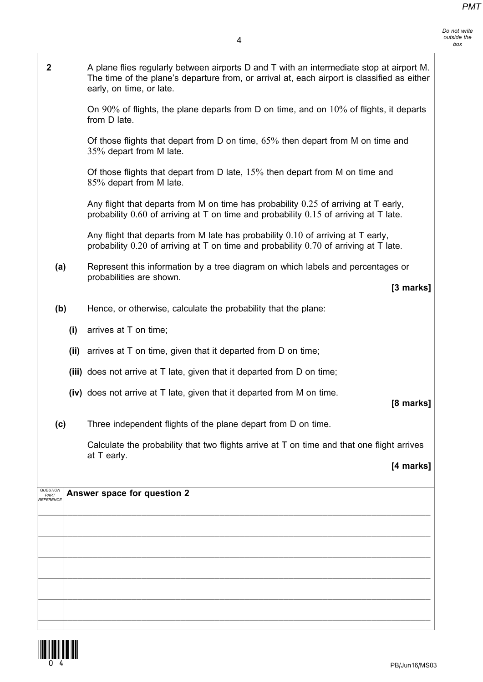- Do not write outside the box
- 2 A plane flies regularly between airports D and T with an intermediate stop at airport M. The time of the plane's departure from, or arrival at, each airport is classified as either early, on time, or late. On 90% of flights, the plane departs from D on time, and on 10% of flights, it departs from D late. Of those flights that depart from D on time, 65% then depart from M on time and 35% depart from M late. Of those flights that depart from D late, 15% then depart from M on time and 85% depart from M late. Any flight that departs from M on time has probability 0.25 of arriving at T early, probability 0.60 of arriving at T on time and probability 0.15 of arriving at T late. Any flight that departs from M late has probability 0.10 of arriving at T early, probability 0.20 of arriving at T on time and probability 0.70 of arriving at T late. (a) Represent this information by a tree diagram on which labels and percentages or probabilities are shown. [3 marks] (b) Hence, or otherwise, calculate the probability that the plane: (i) arrives at T on time; (ii) arrives at T on time, given that it departed from D on time; (iii) does not arrive at T late, given that it departed from D on time; (iv) does not arrive at T late, given that it departed from M on time. [8 marks] (c) Three independent flights of the plane depart from D on time. Calculate the probability that two flights arrive at T on time and that one flight arrives at T early. [4 marks] Answer space for question 2  $\_$  ,  $\_$  ,  $\_$  ,  $\_$  ,  $\_$  ,  $\_$  ,  $\_$  ,  $\_$  ,  $\_$  ,  $\_$  ,  $\_$  ,  $\_$  ,  $\_$  ,  $\_$  ,  $\_$  ,  $\_$  ,  $\_$  ,  $\_$  ,  $\_$  ,  $\_$  ,  $\_$  ,  $\_$  ,  $\_$  ,  $\_$  ,  $\_$  ,  $\_$  ,  $\_$  ,  $\_$  ,  $\_$  ,  $\_$  ,  $\_$  ,  $\_$  ,  $\_$  ,  $\_$  ,  $\_$  ,  $\_$  ,  $\_$  ,  $\_$  ,  $\_$  ,  $\_$  ,  $\_$  ,  $\_$  ,  $\_$  ,  $\_$  ,  $\_$  ,  $\_$  ,  $\_$  ,  $\_$  ,  $\_$  ,  $\_$  ,  $\_$  ,  $\_$  ,  $\_$  ,  $\_$  ,  $\_$  ,  $\_$  ,  $\_$  ,  $\_$  ,  $\_$  ,  $\_$  ,  $\_$  ,  $\_$  ,  $\_$  ,  $\_$  ,  $\_$  ,  $\_$  ,  $\_$  ,  $\_$  ,  $\_$  ,  $\_$  ,  $\_$  ,  $\_$  ,  $\_$  ,  $\_$  ,  $\mathcal{L}_\mathcal{L} = \mathcal{L}_\mathcal{L} = \mathcal{L}_\mathcal{L} = \mathcal{L}_\mathcal{L} = \mathcal{L}_\mathcal{L} = \mathcal{L}_\mathcal{L} = \mathcal{L}_\mathcal{L} = \mathcal{L}_\mathcal{L} = \mathcal{L}_\mathcal{L} = \mathcal{L}_\mathcal{L} = \mathcal{L}_\mathcal{L} = \mathcal{L}_\mathcal{L} = \mathcal{L}_\mathcal{L} = \mathcal{L}_\mathcal{L} = \mathcal{L}_\mathcal{L} = \mathcal{L}_\mathcal{L} = \mathcal{L}_\mathcal{L}$  $\mathcal{L}_\mathcal{L} = \mathcal{L}_\mathcal{L} = \mathcal{L}_\mathcal{L} = \mathcal{L}_\mathcal{L} = \mathcal{L}_\mathcal{L} = \mathcal{L}_\mathcal{L} = \mathcal{L}_\mathcal{L} = \mathcal{L}_\mathcal{L} = \mathcal{L}_\mathcal{L} = \mathcal{L}_\mathcal{L} = \mathcal{L}_\mathcal{L} = \mathcal{L}_\mathcal{L} = \mathcal{L}_\mathcal{L} = \mathcal{L}_\mathcal{L} = \mathcal{L}_\mathcal{L} = \mathcal{L}_\mathcal{L} = \mathcal{L}_\mathcal{L}$  $\mathcal{L}_\mathcal{L} = \mathcal{L}_\mathcal{L} = \mathcal{L}_\mathcal{L} = \mathcal{L}_\mathcal{L} = \mathcal{L}_\mathcal{L} = \mathcal{L}_\mathcal{L} = \mathcal{L}_\mathcal{L} = \mathcal{L}_\mathcal{L} = \mathcal{L}_\mathcal{L} = \mathcal{L}_\mathcal{L} = \mathcal{L}_\mathcal{L} = \mathcal{L}_\mathcal{L} = \mathcal{L}_\mathcal{L} = \mathcal{L}_\mathcal{L} = \mathcal{L}_\mathcal{L} = \mathcal{L}_\mathcal{L} = \mathcal{L}_\mathcal{L}$ QUESTION PART REFERENCE

 $\mathcal{L}_\mathcal{L} = \mathcal{L}_\mathcal{L} = \mathcal{L}_\mathcal{L} = \mathcal{L}_\mathcal{L} = \mathcal{L}_\mathcal{L} = \mathcal{L}_\mathcal{L} = \mathcal{L}_\mathcal{L} = \mathcal{L}_\mathcal{L} = \mathcal{L}_\mathcal{L} = \mathcal{L}_\mathcal{L} = \mathcal{L}_\mathcal{L} = \mathcal{L}_\mathcal{L} = \mathcal{L}_\mathcal{L} = \mathcal{L}_\mathcal{L} = \mathcal{L}_\mathcal{L} = \mathcal{L}_\mathcal{L} = \mathcal{L}_\mathcal{L}$ 

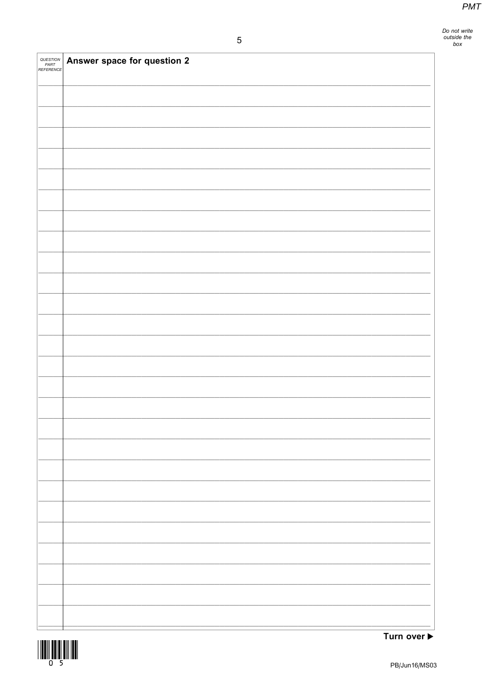Do not write<br>outside the<br>box

| <i>QUESTION<br/>PART<br/>REFERENCE</i> | Answer space for question 2 |
|----------------------------------------|-----------------------------|
|                                        |                             |
|                                        |                             |
|                                        |                             |
|                                        |                             |
|                                        |                             |
|                                        |                             |
|                                        |                             |
|                                        |                             |
|                                        |                             |
|                                        |                             |
|                                        |                             |
|                                        |                             |
|                                        |                             |
|                                        |                             |
|                                        |                             |
|                                        |                             |
|                                        |                             |
|                                        |                             |
|                                        |                             |
|                                        |                             |
|                                        |                             |
|                                        |                             |
|                                        |                             |



Turn over  $\blacktriangleright$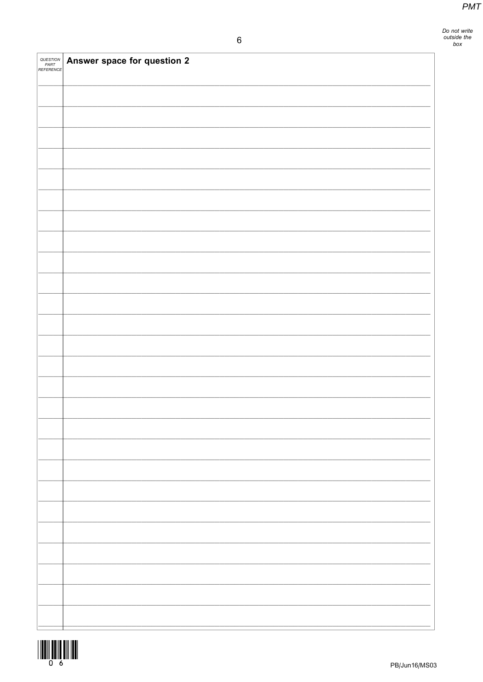| QUESTION<br>PART<br>REFERENCE | Answer space for question 2 |
|-------------------------------|-----------------------------|
|                               |                             |
|                               |                             |
|                               |                             |
|                               |                             |
|                               |                             |
|                               |                             |
|                               |                             |
|                               |                             |
|                               |                             |
|                               |                             |
|                               |                             |
|                               |                             |
|                               |                             |
|                               |                             |
|                               |                             |
|                               |                             |
|                               |                             |
|                               |                             |
|                               |                             |
|                               |                             |
|                               |                             |
|                               |                             |
|                               |                             |
|                               |                             |

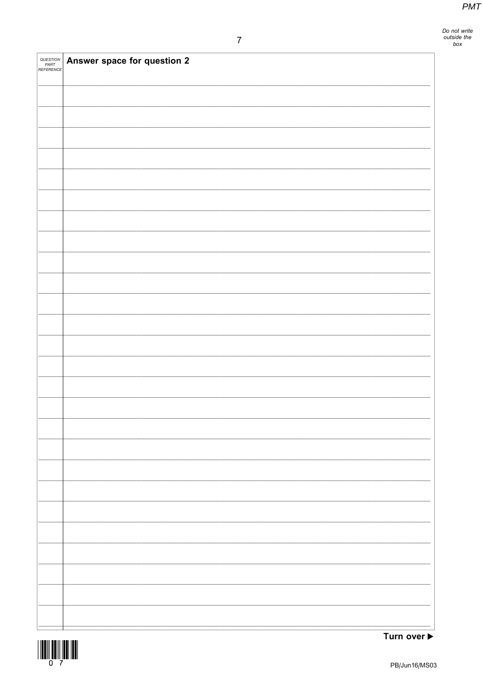Do not write<br>outside the<br>box

| QUESTION<br>PART<br>REFERENCE | Answer space for question 2 |
|-------------------------------|-----------------------------|
|                               |                             |
|                               |                             |
|                               |                             |
|                               |                             |
|                               |                             |
|                               |                             |
|                               |                             |
|                               |                             |
|                               |                             |
|                               |                             |
|                               |                             |
|                               |                             |
|                               |                             |
|                               |                             |
|                               |                             |
|                               |                             |
|                               |                             |
|                               |                             |
|                               |                             |
|                               |                             |
|                               |                             |
|                               |                             |
|                               |                             |
|                               |                             |



Turn over  $\blacktriangleright$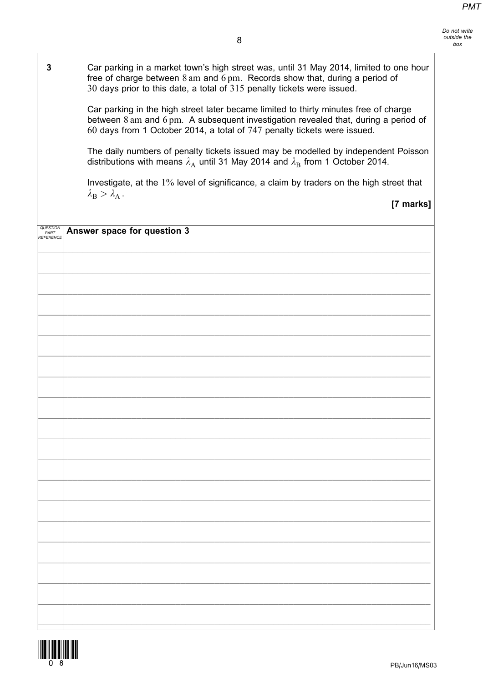3 Car parking in a market town's high street was, until 31 May 2014, limited to one hour free of charge between 8 am and 6 pm. Records show that, during a period of 30 days prior to this date, a total of 315 penalty tickets were issued. Car parking in the high street later became limited to thirty minutes free of charge between 8 am and 6 pm. A subsequent investigation revealed that, during a period of 60 days from 1 October 2014, a total of 747 penalty tickets were issued. The daily numbers of penalty tickets issued may be modelled by independent Poisson distributions with means  $\lambda_A$  until 31 May 2014 and  $\lambda_B$  from 1 October 2014. Investigate, at the 1% level of significance, a claim by traders on the high street that  $\lambda_{\rm B} > \lambda_{\rm A}$ . [7 marks] Answer space for question 3  $\mathcal{L}_\mathcal{L} = \mathcal{L}_\mathcal{L} = \mathcal{L}_\mathcal{L} = \mathcal{L}_\mathcal{L} = \mathcal{L}_\mathcal{L} = \mathcal{L}_\mathcal{L} = \mathcal{L}_\mathcal{L} = \mathcal{L}_\mathcal{L} = \mathcal{L}_\mathcal{L} = \mathcal{L}_\mathcal{L} = \mathcal{L}_\mathcal{L} = \mathcal{L}_\mathcal{L} = \mathcal{L}_\mathcal{L} = \mathcal{L}_\mathcal{L} = \mathcal{L}_\mathcal{L} = \mathcal{L}_\mathcal{L} = \mathcal{L}_\mathcal{L}$  $\mathcal{L}_\mathcal{L} = \mathcal{L}_\mathcal{L} = \mathcal{L}_\mathcal{L} = \mathcal{L}_\mathcal{L} = \mathcal{L}_\mathcal{L} = \mathcal{L}_\mathcal{L} = \mathcal{L}_\mathcal{L} = \mathcal{L}_\mathcal{L} = \mathcal{L}_\mathcal{L} = \mathcal{L}_\mathcal{L} = \mathcal{L}_\mathcal{L} = \mathcal{L}_\mathcal{L} = \mathcal{L}_\mathcal{L} = \mathcal{L}_\mathcal{L} = \mathcal{L}_\mathcal{L} = \mathcal{L}_\mathcal{L} = \mathcal{L}_\mathcal{L}$  $\_$  ,  $\_$  ,  $\_$  ,  $\_$  ,  $\_$  ,  $\_$  ,  $\_$  ,  $\_$  ,  $\_$  ,  $\_$  ,  $\_$  ,  $\_$  ,  $\_$  ,  $\_$  ,  $\_$  ,  $\_$  ,  $\_$  ,  $\_$  ,  $\_$  ,  $\_$  ,  $\_$  ,  $\_$  ,  $\_$  ,  $\_$  ,  $\_$  ,  $\_$  ,  $\_$  ,  $\_$  ,  $\_$  ,  $\_$  ,  $\_$  ,  $\_$  ,  $\_$  ,  $\_$  ,  $\_$  ,  $\_$  ,  $\_$  ,  $\_$  ,  $\_$  ,  $\_$  ,  $\_$  ,  $\_$  ,  $\_$  ,  $\_$  ,  $\_$  ,  $\_$  ,  $\_$  ,  $\_$  ,  $\_$  ,  $\_$  ,  $\_$  ,  $\_$  ,  $\_$  ,  $\_$  ,  $\_$  ,  $\_$  ,  $\_$  ,  $\_$  ,  $\_$  ,  $\_$  ,  $\_$  ,  $\_$  ,  $\_$  ,  $\_$  ,  $\_$  ,  $\_$  ,  $\_$  ,  $\_$  ,  $\_$  ,  $\_$  ,  $\_$  ,  $\_$  ,  $\_$  ,  $\_$  ,  $\mathcal{L}_\mathcal{L} = \mathcal{L}_\mathcal{L} = \mathcal{L}_\mathcal{L} = \mathcal{L}_\mathcal{L} = \mathcal{L}_\mathcal{L} = \mathcal{L}_\mathcal{L} = \mathcal{L}_\mathcal{L} = \mathcal{L}_\mathcal{L} = \mathcal{L}_\mathcal{L} = \mathcal{L}_\mathcal{L} = \mathcal{L}_\mathcal{L} = \mathcal{L}_\mathcal{L} = \mathcal{L}_\mathcal{L} = \mathcal{L}_\mathcal{L} = \mathcal{L}_\mathcal{L} = \mathcal{L}_\mathcal{L} = \mathcal{L}_\mathcal{L}$  $\_$  ,  $\_$  ,  $\_$  ,  $\_$  ,  $\_$  ,  $\_$  ,  $\_$  ,  $\_$  ,  $\_$  ,  $\_$  ,  $\_$  ,  $\_$  ,  $\_$  ,  $\_$  ,  $\_$  ,  $\_$  ,  $\_$  ,  $\_$  ,  $\_$  ,  $\_$  ,  $\_$  ,  $\_$  ,  $\_$  ,  $\_$  ,  $\_$  ,  $\_$  ,  $\_$  ,  $\_$  ,  $\_$  ,  $\_$  ,  $\_$  ,  $\_$  ,  $\_$  ,  $\_$  ,  $\_$  ,  $\_$  ,  $\_$  ,  $\_$  ,  $\_$  ,  $\_$  ,  $\_$  ,  $\_$  ,  $\_$  ,  $\_$  ,  $\_$  ,  $\_$  ,  $\_$  ,  $\_$  ,  $\_$  ,  $\_$  ,  $\_$  ,  $\_$  ,  $\_$  ,  $\_$  ,  $\_$  ,  $\_$  ,  $\_$  ,  $\_$  ,  $\_$  ,  $\_$  ,  $\_$  ,  $\_$  ,  $\_$  ,  $\_$  ,  $\_$  ,  $\_$  ,  $\_$  ,  $\_$  ,  $\_$  ,  $\_$  ,  $\_$  ,  $\_$  ,  $\_$  ,  $\_$  ,  $\_$  ,  $\_$  ,  $\_$  ,  $\_$  ,  $\_$  ,  $\_$  ,  $\_$  ,  $\_$  ,  $\_$  ,  $\_$  ,  $\_$  ,  $\_$  ,  $\_$  ,  $\_$  ,  $\_$  ,  $\_$  ,  $\_$  ,  $\_$  ,  $\_$  ,  $\_$  ,  $\_$  ,  $\_$  ,  $\_$  ,  $\_$  ,  $\_$  ,  $\_$  ,  $\_$  ,  $\_$  ,  $\_$  ,  $\_$  ,  $\_$  ,  $\_$  ,  $\_$  ,  $\_$  ,  $\_$  ,  $\_$  ,  $\_$  ,  $\_$  ,  $\_$  ,  $\_$  ,  $\_$  ,  $\_$  ,  $\_$  ,  $\_$  ,  $\_$  ,  $\_$  ,  $\_$  ,  $\_$  ,  $\_$  ,  $\_$  ,  $\_$  ,  $\_$  ,  $\_$  ,  $\_$  ,  $\_$  ,  $\_$  ,  $\_$  ,  $\_$  ,  $\_$  ,  $\_$  ,  $\_$  ,  $\_$  ,  $\_$  ,  $\_$  ,  $\_$  ,  $\_$  ,  $\_$  ,  $\_$  ,  $\_$  ,  $\_$  ,  $\_$  ,  $\_$  ,  $\_$  ,  $\_$  ,  $\mathcal{L}_\mathcal{L} = \mathcal{L}_\mathcal{L} = \mathcal{L}_\mathcal{L} = \mathcal{L}_\mathcal{L} = \mathcal{L}_\mathcal{L} = \mathcal{L}_\mathcal{L} = \mathcal{L}_\mathcal{L} = \mathcal{L}_\mathcal{L} = \mathcal{L}_\mathcal{L} = \mathcal{L}_\mathcal{L} = \mathcal{L}_\mathcal{L} = \mathcal{L}_\mathcal{L} = \mathcal{L}_\mathcal{L} = \mathcal{L}_\mathcal{L} = \mathcal{L}_\mathcal{L} = \mathcal{L}_\mathcal{L} = \mathcal{L}_\mathcal{L}$  $\mathcal{L}_\mathcal{L} = \mathcal{L}_\mathcal{L} = \mathcal{L}_\mathcal{L} = \mathcal{L}_\mathcal{L} = \mathcal{L}_\mathcal{L} = \mathcal{L}_\mathcal{L} = \mathcal{L}_\mathcal{L} = \mathcal{L}_\mathcal{L} = \mathcal{L}_\mathcal{L} = \mathcal{L}_\mathcal{L} = \mathcal{L}_\mathcal{L} = \mathcal{L}_\mathcal{L} = \mathcal{L}_\mathcal{L} = \mathcal{L}_\mathcal{L} = \mathcal{L}_\mathcal{L} = \mathcal{L}_\mathcal{L} = \mathcal{L}_\mathcal{L}$  $\mathcal{L}_\mathcal{L} = \mathcal{L}_\mathcal{L} = \mathcal{L}_\mathcal{L} = \mathcal{L}_\mathcal{L} = \mathcal{L}_\mathcal{L} = \mathcal{L}_\mathcal{L} = \mathcal{L}_\mathcal{L} = \mathcal{L}_\mathcal{L} = \mathcal{L}_\mathcal{L} = \mathcal{L}_\mathcal{L} = \mathcal{L}_\mathcal{L} = \mathcal{L}_\mathcal{L} = \mathcal{L}_\mathcal{L} = \mathcal{L}_\mathcal{L} = \mathcal{L}_\mathcal{L} = \mathcal{L}_\mathcal{L} = \mathcal{L}_\mathcal{L}$  $\mathcal{L}_\mathcal{L} = \mathcal{L}_\mathcal{L} = \mathcal{L}_\mathcal{L} = \mathcal{L}_\mathcal{L} = \mathcal{L}_\mathcal{L} = \mathcal{L}_\mathcal{L} = \mathcal{L}_\mathcal{L} = \mathcal{L}_\mathcal{L} = \mathcal{L}_\mathcal{L} = \mathcal{L}_\mathcal{L} = \mathcal{L}_\mathcal{L} = \mathcal{L}_\mathcal{L} = \mathcal{L}_\mathcal{L} = \mathcal{L}_\mathcal{L} = \mathcal{L}_\mathcal{L} = \mathcal{L}_\mathcal{L} = \mathcal{L}_\mathcal{L}$  $\mathcal{L}_\mathcal{L} = \mathcal{L}_\mathcal{L} = \mathcal{L}_\mathcal{L} = \mathcal{L}_\mathcal{L} = \mathcal{L}_\mathcal{L} = \mathcal{L}_\mathcal{L} = \mathcal{L}_\mathcal{L} = \mathcal{L}_\mathcal{L} = \mathcal{L}_\mathcal{L} = \mathcal{L}_\mathcal{L} = \mathcal{L}_\mathcal{L} = \mathcal{L}_\mathcal{L} = \mathcal{L}_\mathcal{L} = \mathcal{L}_\mathcal{L} = \mathcal{L}_\mathcal{L} = \mathcal{L}_\mathcal{L} = \mathcal{L}_\mathcal{L}$  $\mathcal{L}_\mathcal{L} = \mathcal{L}_\mathcal{L} = \mathcal{L}_\mathcal{L} = \mathcal{L}_\mathcal{L} = \mathcal{L}_\mathcal{L} = \mathcal{L}_\mathcal{L} = \mathcal{L}_\mathcal{L} = \mathcal{L}_\mathcal{L} = \mathcal{L}_\mathcal{L} = \mathcal{L}_\mathcal{L} = \mathcal{L}_\mathcal{L} = \mathcal{L}_\mathcal{L} = \mathcal{L}_\mathcal{L} = \mathcal{L}_\mathcal{L} = \mathcal{L}_\mathcal{L} = \mathcal{L}_\mathcal{L} = \mathcal{L}_\mathcal{L}$  $\mathcal{L}_\mathcal{L} = \mathcal{L}_\mathcal{L} = \mathcal{L}_\mathcal{L} = \mathcal{L}_\mathcal{L} = \mathcal{L}_\mathcal{L} = \mathcal{L}_\mathcal{L} = \mathcal{L}_\mathcal{L} = \mathcal{L}_\mathcal{L} = \mathcal{L}_\mathcal{L} = \mathcal{L}_\mathcal{L} = \mathcal{L}_\mathcal{L} = \mathcal{L}_\mathcal{L} = \mathcal{L}_\mathcal{L} = \mathcal{L}_\mathcal{L} = \mathcal{L}_\mathcal{L} = \mathcal{L}_\mathcal{L} = \mathcal{L}_\mathcal{L}$  $\mathcal{L}_\mathcal{L} = \mathcal{L}_\mathcal{L} = \mathcal{L}_\mathcal{L} = \mathcal{L}_\mathcal{L} = \mathcal{L}_\mathcal{L} = \mathcal{L}_\mathcal{L} = \mathcal{L}_\mathcal{L} = \mathcal{L}_\mathcal{L} = \mathcal{L}_\mathcal{L} = \mathcal{L}_\mathcal{L} = \mathcal{L}_\mathcal{L} = \mathcal{L}_\mathcal{L} = \mathcal{L}_\mathcal{L} = \mathcal{L}_\mathcal{L} = \mathcal{L}_\mathcal{L} = \mathcal{L}_\mathcal{L} = \mathcal{L}_\mathcal{L}$  $\mathcal{L}_\mathcal{L} = \mathcal{L}_\mathcal{L} = \mathcal{L}_\mathcal{L} = \mathcal{L}_\mathcal{L} = \mathcal{L}_\mathcal{L} = \mathcal{L}_\mathcal{L} = \mathcal{L}_\mathcal{L} = \mathcal{L}_\mathcal{L} = \mathcal{L}_\mathcal{L} = \mathcal{L}_\mathcal{L} = \mathcal{L}_\mathcal{L} = \mathcal{L}_\mathcal{L} = \mathcal{L}_\mathcal{L} = \mathcal{L}_\mathcal{L} = \mathcal{L}_\mathcal{L} = \mathcal{L}_\mathcal{L} = \mathcal{L}_\mathcal{L}$  $\mathcal{L}_\mathcal{L} = \mathcal{L}_\mathcal{L} = \mathcal{L}_\mathcal{L} = \mathcal{L}_\mathcal{L} = \mathcal{L}_\mathcal{L} = \mathcal{L}_\mathcal{L} = \mathcal{L}_\mathcal{L} = \mathcal{L}_\mathcal{L} = \mathcal{L}_\mathcal{L} = \mathcal{L}_\mathcal{L} = \mathcal{L}_\mathcal{L} = \mathcal{L}_\mathcal{L} = \mathcal{L}_\mathcal{L} = \mathcal{L}_\mathcal{L} = \mathcal{L}_\mathcal{L} = \mathcal{L}_\mathcal{L} = \mathcal{L}_\mathcal{L}$ **QUESTION** PART REFERENCE

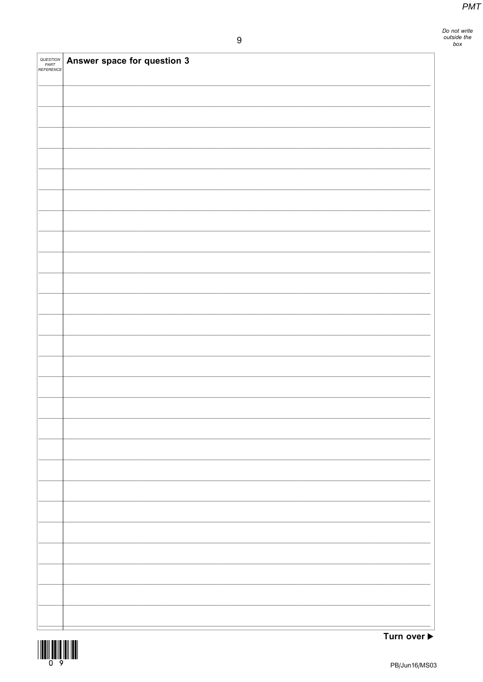Do not write<br>outside the<br>box

| QUESTION<br>PART<br>REFERENCE | Answer space for question 3 |
|-------------------------------|-----------------------------|
|                               |                             |
|                               |                             |
|                               |                             |
|                               |                             |
|                               |                             |
|                               |                             |
|                               |                             |
|                               |                             |
|                               |                             |
|                               |                             |
|                               |                             |
|                               |                             |
|                               |                             |
|                               |                             |
|                               |                             |
|                               |                             |
|                               |                             |
|                               |                             |
|                               |                             |
|                               |                             |
|                               |                             |
|                               |                             |
|                               |                             |
|                               |                             |

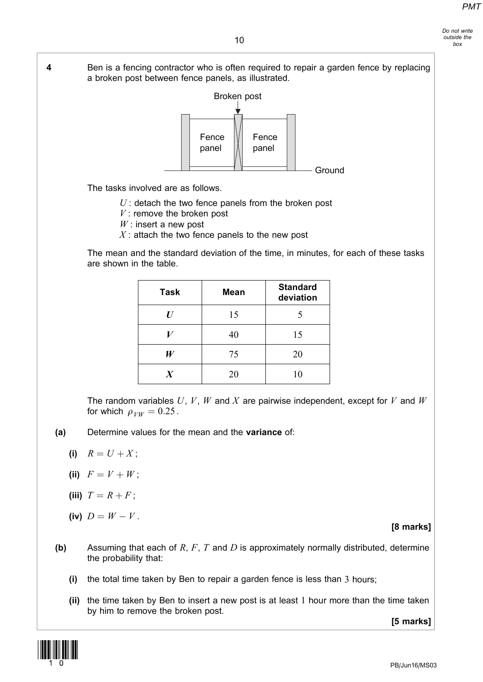Do not write outside the box

4 Ben is a fencing contractor who is often required to repair a garden fence by replacing a broken post between fence panels, as illustrated. Broken post Fence panel Fence panel

The tasks involved are as follows.

- $U$ : detach the two fence panels from the broken post
- $V$ : remove the broken post
- $W$ : insert a new post
- $X$ : attach the two fence panels to the new post

The mean and the standard deviation of the time, in minutes, for each of these tasks are shown in the table.

**Ground** 

| <b>Task</b>      | <b>Mean</b> | <b>Standard</b><br>deviation |
|------------------|-------------|------------------------------|
| $\bm{U}$         | 15          |                              |
|                  | 40          | 15                           |
| W                | 75          | 20                           |
| $\boldsymbol{X}$ | 20          | 10                           |

The random variables  $U, V, W$  and  $X$  are pairwise independent, except for  $V$  and  $W$ for which  $\rho_{VW} = 0.25$ .

- (a) Determine values for the mean and the variance of:
	- (i)  $R = U + X$ ;
	- (iii)  $F = V + W$ :
	- (iii)  $T = R + F$ ;
	- (iv)  $D = W V$ .

[8 marks]

- (b) Assuming that each of R, F, T and D is approximately normally distributed, determine the probability that:
	- (i) the total time taken by Ben to repair a garden fence is less than 3 hours;
	- (ii) the time taken by Ben to insert a new post is at least 1 hour more than the time taken by him to remove the broken post.

[5 marks]

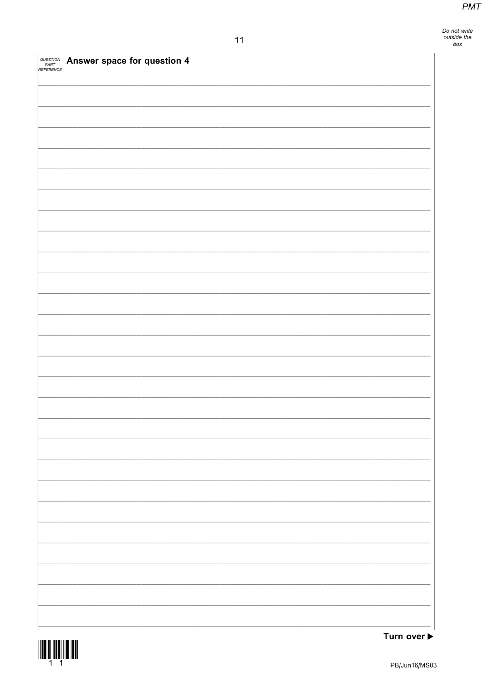Do not write<br>outside the<br>box

| QUESTION<br>PART<br>REFERENCE | Answer space for question 4 |
|-------------------------------|-----------------------------|
|                               |                             |
|                               |                             |
|                               |                             |
|                               |                             |
|                               |                             |
|                               |                             |
|                               |                             |
|                               |                             |
|                               |                             |
|                               |                             |
|                               |                             |
|                               |                             |
|                               |                             |
|                               |                             |
|                               |                             |
|                               |                             |
|                               |                             |
|                               |                             |
|                               |                             |
|                               |                             |
|                               |                             |
|                               |                             |
|                               |                             |

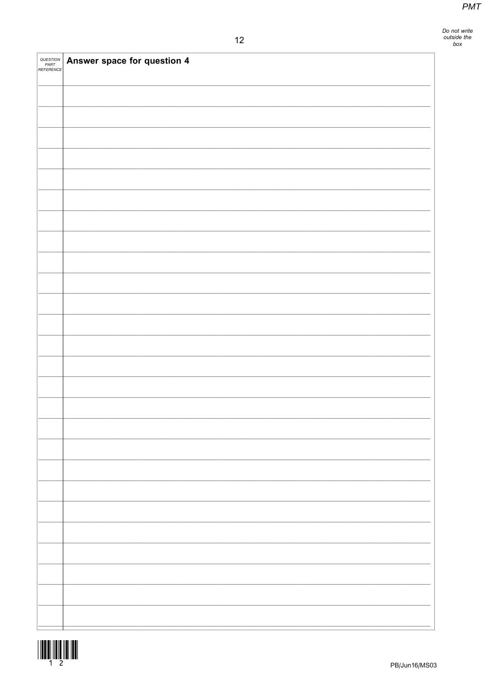| <i>QUESTION<br/>PART<br/>REFERENCE</i> | Answer space for question 4 |
|----------------------------------------|-----------------------------|
|                                        |                             |
|                                        |                             |
|                                        |                             |
|                                        |                             |
|                                        |                             |
|                                        |                             |
|                                        |                             |
|                                        |                             |
|                                        |                             |
|                                        |                             |
|                                        |                             |
|                                        |                             |
|                                        |                             |
|                                        |                             |
|                                        |                             |
|                                        |                             |
|                                        |                             |
|                                        |                             |
|                                        |                             |
|                                        |                             |
|                                        |                             |
|                                        |                             |
|                                        |                             |
|                                        |                             |

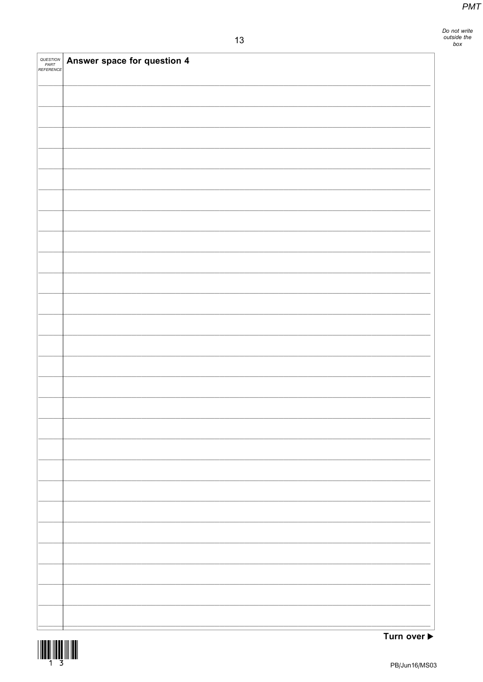| <i>QUESTION<br/>PART<br/>REFERENCE</i> | Answer space for question 4 |
|----------------------------------------|-----------------------------|
|                                        |                             |
|                                        |                             |
|                                        |                             |
|                                        |                             |
|                                        |                             |
|                                        |                             |
|                                        |                             |
|                                        |                             |
|                                        |                             |
|                                        |                             |
|                                        |                             |
|                                        |                             |
|                                        |                             |
|                                        |                             |
|                                        |                             |
|                                        |                             |
|                                        |                             |
|                                        |                             |
|                                        |                             |
|                                        |                             |
|                                        |                             |
|                                        |                             |
|                                        |                             |

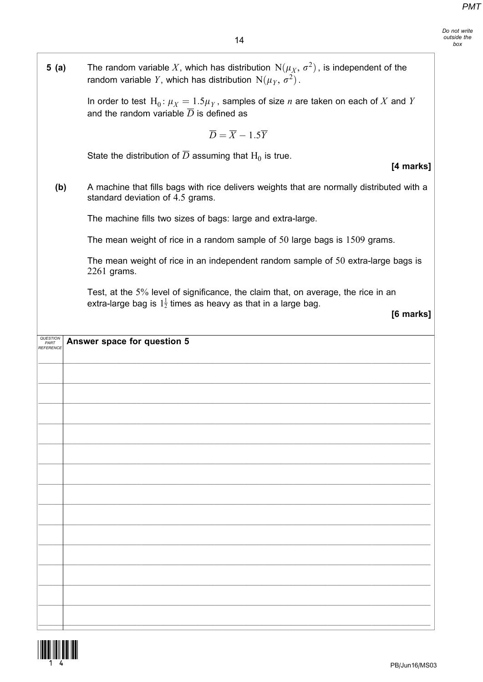٦

| 5(a)              | The random variable X, which has distribution $N(\mu_X, \sigma^2)$ , is independent of the<br>random variable Y, which has distribution $N(\mu_Y, \sigma^2)$ .             |
|-------------------|----------------------------------------------------------------------------------------------------------------------------------------------------------------------------|
|                   | In order to test $H_0: \mu_X = 1.5 \mu_Y$ , samples of size <i>n</i> are taken on each of X and Y<br>and the random variable $\overline{D}$ is defined as                  |
|                   | $\overline{D} = \overline{X} - 1.5\overline{Y}$                                                                                                                            |
|                   | State the distribution of $\overline{D}$ assuming that H <sub>0</sub> is true.<br>[4 marks]                                                                                |
| (b)               | A machine that fills bags with rice delivers weights that are normally distributed with a<br>standard deviation of 4.5 grams.                                              |
|                   | The machine fills two sizes of bags: large and extra-large.                                                                                                                |
|                   | The mean weight of rice in a random sample of $50$ large bags is $1509$ grams.                                                                                             |
|                   | The mean weight of rice in an independent random sample of 50 extra-large bags is<br>$2261$ grams.                                                                         |
|                   | Test, at the 5% level of significance, the claim that, on average, the rice in an<br>extra-large bag is $1\frac{1}{2}$ times as heavy as that in a large bag.<br>[6 marks] |
| PART<br>REFERENCE | Answer space for question 5                                                                                                                                                |
|                   |                                                                                                                                                                            |
|                   |                                                                                                                                                                            |
|                   |                                                                                                                                                                            |
|                   |                                                                                                                                                                            |
|                   |                                                                                                                                                                            |
|                   |                                                                                                                                                                            |
|                   |                                                                                                                                                                            |
|                   |                                                                                                                                                                            |
|                   |                                                                                                                                                                            |
|                   |                                                                                                                                                                            |
|                   |                                                                                                                                                                            |
|                   |                                                                                                                                                                            |
|                   |                                                                                                                                                                            |
|                   |                                                                                                                                                                            |



 $\mathsf{I}$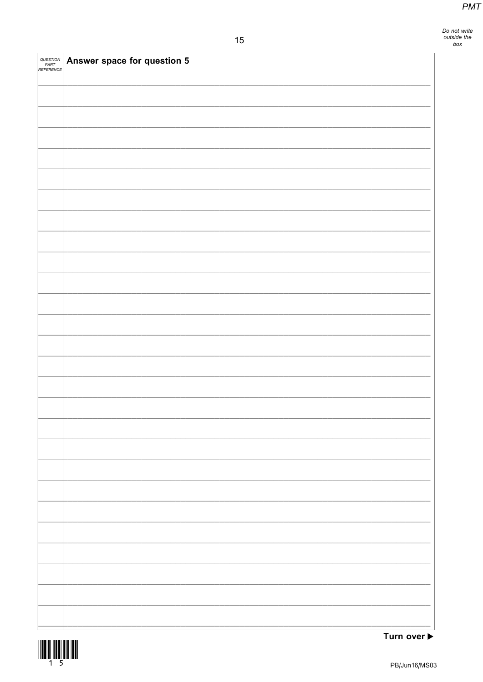Do not write<br>outside the<br>box

| <i>QUESTION<br/>PART<br/>REFERENCE</i> | Answer space for question 5 |
|----------------------------------------|-----------------------------|
|                                        |                             |
|                                        |                             |
|                                        |                             |
|                                        |                             |
|                                        |                             |
|                                        |                             |
|                                        |                             |
|                                        |                             |
|                                        |                             |
|                                        |                             |
|                                        |                             |
|                                        |                             |
|                                        |                             |
|                                        |                             |
|                                        |                             |
|                                        |                             |
|                                        |                             |
|                                        |                             |
|                                        |                             |
|                                        |                             |
|                                        |                             |
|                                        |                             |

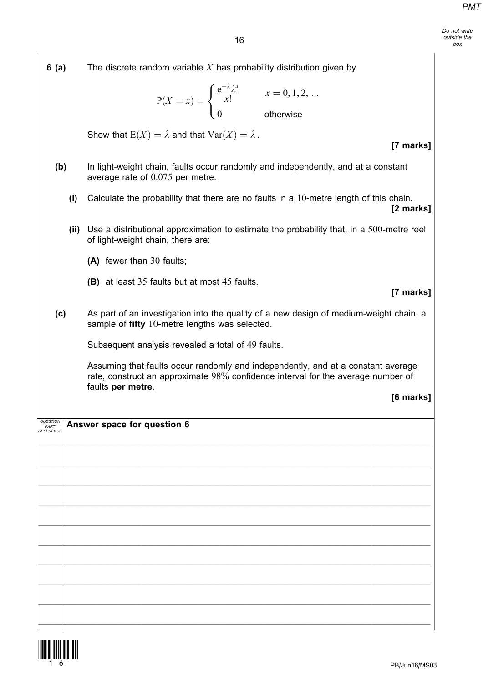Do not write outside the box

| 6(a)      |      | The discrete random variable $X$ has probability distribution given by                                                                                               |
|-----------|------|----------------------------------------------------------------------------------------------------------------------------------------------------------------------|
|           |      | $P(X = x) = \begin{cases} \frac{e^{-x}\lambda^x}{x!} & x = 0, 1, 2,  \\ 0 & \text{otherwise} \end{cases}$                                                            |
|           |      | Show that $E(X) = \lambda$ and that $Var(X) = \lambda$ .<br>[7 marks]                                                                                                |
| (b)       |      | In light-weight chain, faults occur randomly and independently, and at a constant<br>average rate of $0.075$ per metre.                                              |
|           | (i)  | Calculate the probability that there are no faults in a 10-metre length of this chain.<br>[2 marks]                                                                  |
|           | (ii) | Use a distributional approximation to estimate the probability that, in a 500-metre reel<br>of light-weight chain, there are:                                        |
|           |      | (A) fewer than 30 faults;                                                                                                                                            |
|           |      | <b>(B)</b> at least 35 faults but at most 45 faults.<br>[7 marks]                                                                                                    |
| (c)       |      | As part of an investigation into the quality of a new design of medium-weight chain, a<br>sample of fifty 10-metre lengths was selected.                             |
|           |      | Subsequent analysis revealed a total of 49 faults.                                                                                                                   |
|           |      | Assuming that faults occur randomly and independently, and at a constant average<br>rate, construct an approximate 98% confidence interval for the average number of |
|           |      | faults per metre.<br>[6 marks]                                                                                                                                       |
| REFERENCE |      | <b>QUESTION</b> Answer space for question 6                                                                                                                          |
|           |      |                                                                                                                                                                      |
|           |      |                                                                                                                                                                      |
|           |      |                                                                                                                                                                      |
|           |      |                                                                                                                                                                      |
|           |      |                                                                                                                                                                      |
|           |      |                                                                                                                                                                      |
|           |      |                                                                                                                                                                      |
|           |      |                                                                                                                                                                      |
|           |      |                                                                                                                                                                      |
|           |      |                                                                                                                                                                      |

 $\_$  ,  $\_$  ,  $\_$  ,  $\_$  ,  $\_$  ,  $\_$  ,  $\_$  ,  $\_$  ,  $\_$  ,  $\_$  ,  $\_$  ,  $\_$  ,  $\_$  ,  $\_$  ,  $\_$  ,  $\_$  ,  $\_$  ,  $\_$  ,  $\_$  ,  $\_$  ,  $\_$  ,  $\_$  ,  $\_$  ,  $\_$  ,  $\_$  ,  $\_$  ,  $\_$  ,  $\_$  ,  $\_$  ,  $\_$  ,  $\_$  ,  $\_$  ,  $\_$  ,  $\_$  ,  $\_$  ,  $\_$  ,  $\_$  ,

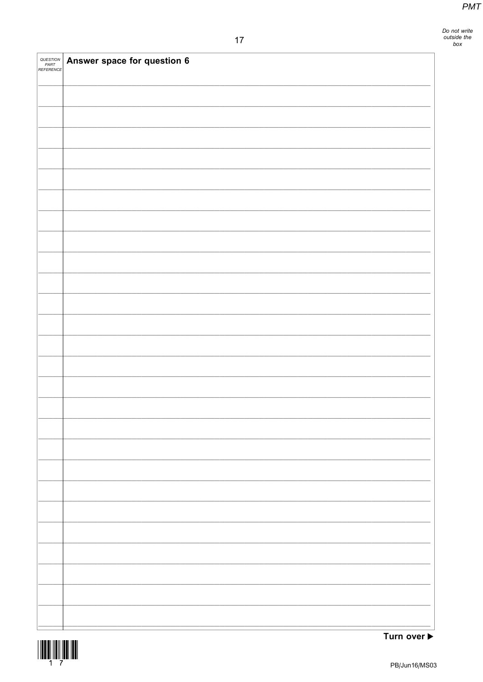Do not write<br>outside the<br>box

| <i>QUESTION<br/>PART<br/>REFERENCE</i> | Answer space for question 6 |
|----------------------------------------|-----------------------------|
|                                        |                             |
|                                        |                             |
|                                        |                             |
|                                        |                             |
|                                        |                             |
|                                        |                             |
|                                        |                             |
|                                        |                             |
|                                        |                             |
|                                        |                             |
|                                        |                             |
|                                        |                             |
|                                        |                             |
|                                        |                             |
|                                        |                             |
|                                        |                             |
|                                        |                             |
|                                        |                             |
|                                        |                             |
|                                        |                             |
|                                        |                             |
|                                        |                             |

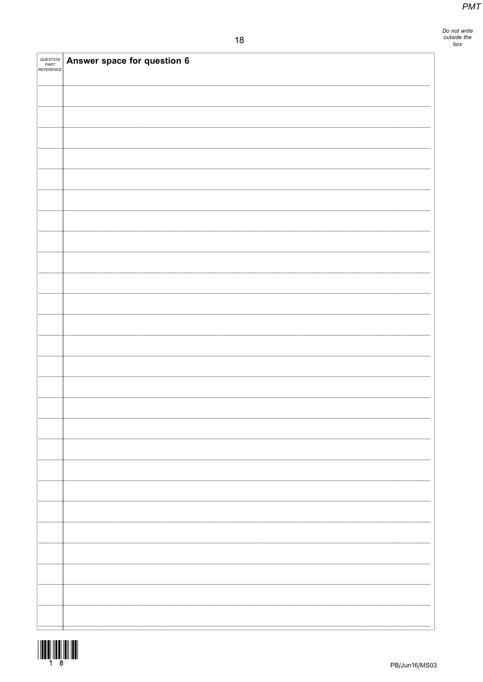| QUESTION<br>PART<br>REFERENCE | Answer space for question 6 |
|-------------------------------|-----------------------------|
|                               |                             |
|                               |                             |
|                               |                             |
|                               |                             |
|                               |                             |
|                               |                             |
|                               |                             |
|                               |                             |
|                               |                             |
|                               |                             |
|                               |                             |
|                               |                             |
|                               |                             |
|                               |                             |
|                               |                             |
|                               |                             |
|                               |                             |
|                               |                             |
|                               |                             |
|                               |                             |
|                               |                             |
|                               |                             |

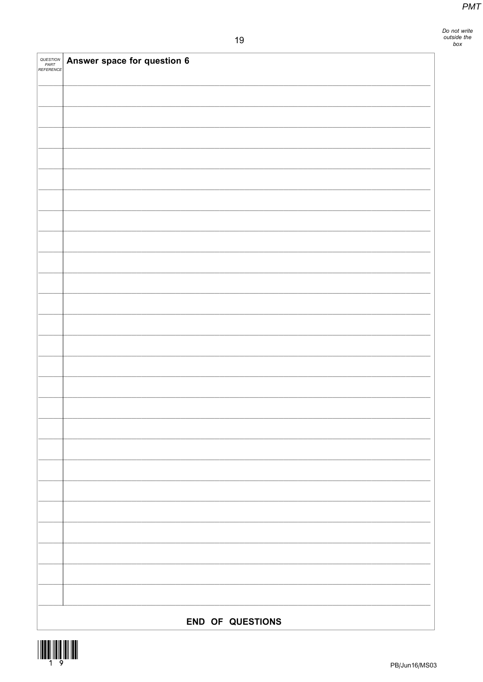| QUESTION<br>PART<br>REFERENCE | Answer space for question 6 |  |
|-------------------------------|-----------------------------|--|
|                               |                             |  |
|                               |                             |  |
|                               |                             |  |
|                               |                             |  |
|                               |                             |  |
|                               |                             |  |
|                               |                             |  |
|                               |                             |  |
|                               |                             |  |
|                               |                             |  |
|                               |                             |  |
|                               |                             |  |
|                               |                             |  |
|                               |                             |  |
|                               |                             |  |
|                               |                             |  |
|                               |                             |  |
|                               |                             |  |
|                               |                             |  |
|                               |                             |  |
|                               |                             |  |
|                               |                             |  |
|                               |                             |  |
|                               |                             |  |
|                               |                             |  |
|                               |                             |  |
| <b>END OF QUESTIONS</b>       |                             |  |